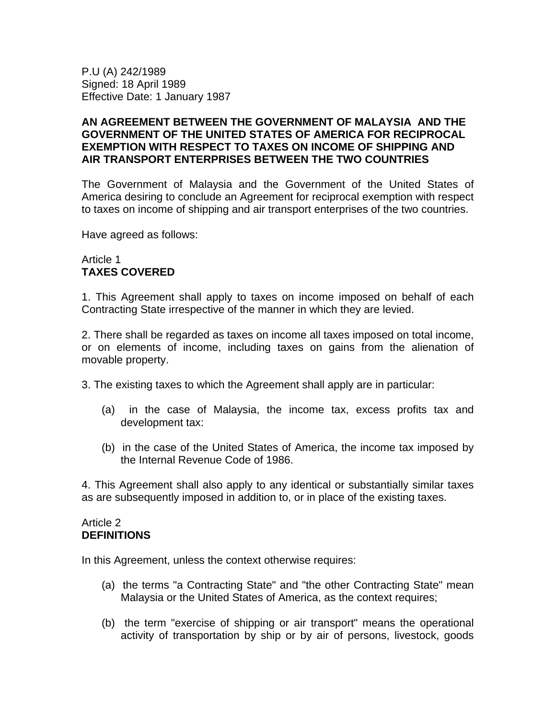P.U (A) 242/1989 Signed: 18 April 1989 Effective Date: 1 January 1987

### **AN AGREEMENT BETWEEN THE GOVERNMENT OF MALAYSIA AND THE GOVERNMENT OF THE UNITED STATES OF AMERICA FOR RECIPROCAL EXEMPTION WITH RESPECT TO TAXES ON INCOME OF SHIPPING AND AIR TRANSPORT ENTERPRISES BETWEEN THE TWO COUNTRIES**

The Government of Malaysia and the Government of the United States of America desiring to conclude an Agreement for reciprocal exemption with respect to taxes on income of shipping and air transport enterprises of the two countries.

Have agreed as follows:

### Article 1 **TAXES COVERED**

1. This Agreement shall apply to taxes on income imposed on behalf of each Contracting State irrespective of the manner in which they are levied.

2. There shall be regarded as taxes on income all taxes imposed on total income, or on elements of income, including taxes on gains from the alienation of movable property.

- 3. The existing taxes to which the Agreement shall apply are in particular:
	- (a) in the case of Malaysia, the income tax, excess profits tax and development tax:
	- (b) in the case of the United States of America, the income tax imposed by the Internal Revenue Code of 1986.

4. This Agreement shall also apply to any identical or substantially similar taxes as are subsequently imposed in addition to, or in place of the existing taxes.

#### Article 2 **DEFINITIONS**

In this Agreement, unless the context otherwise requires:

- (a) the terms "a Contracting State" and "the other Contracting State" mean Malaysia or the United States of America, as the context requires;
- (b) the term "exercise of shipping or air transport" means the operational activity of transportation by ship or by air of persons, livestock, goods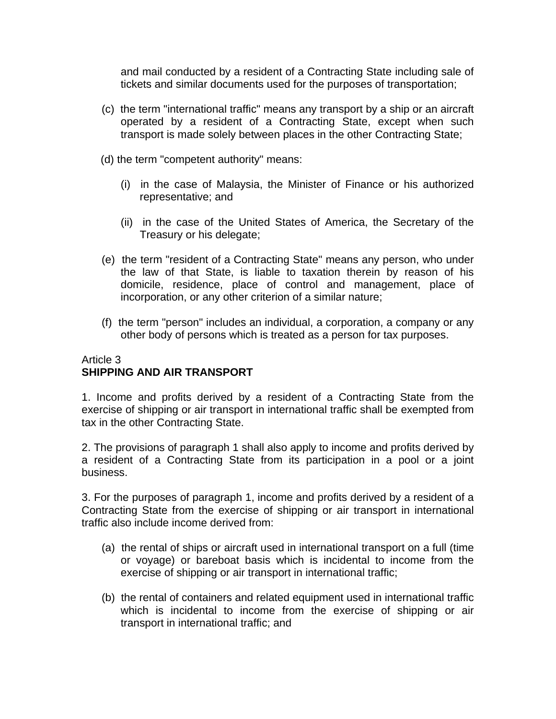and mail conducted by a resident of a Contracting State including sale of tickets and similar documents used for the purposes of transportation;

- (c) the term "international traffic" means any transport by a ship or an aircraft operated by a resident of a Contracting State, except when such transport is made solely between places in the other Contracting State;
- (d) the term "competent authority" means:
	- (i) in the case of Malaysia, the Minister of Finance or his authorized representative; and
	- (ii) in the case of the United States of America, the Secretary of the Treasury or his delegate;
- (e) the term "resident of a Contracting State" means any person, who under the law of that State, is liable to taxation therein by reason of his domicile, residence, place of control and management, place of incorporation, or any other criterion of a similar nature;
- (f) the term "person" includes an individual, a corporation, a company or any other body of persons which is treated as a person for tax purposes.

### Article 3 **SHIPPING AND AIR TRANSPORT**

1. Income and profits derived by a resident of a Contracting State from the exercise of shipping or air transport in international traffic shall be exempted from tax in the other Contracting State.

2. The provisions of paragraph 1 shall also apply to income and profits derived by a resident of a Contracting State from its participation in a pool or a joint business.

3. For the purposes of paragraph 1, income and profits derived by a resident of a Contracting State from the exercise of shipping or air transport in international traffic also include income derived from:

- (a) the rental of ships or aircraft used in international transport on a full (time or voyage) or bareboat basis which is incidental to income from the exercise of shipping or air transport in international traffic;
- (b) the rental of containers and related equipment used in international traffic which is incidental to income from the exercise of shipping or air transport in international traffic; and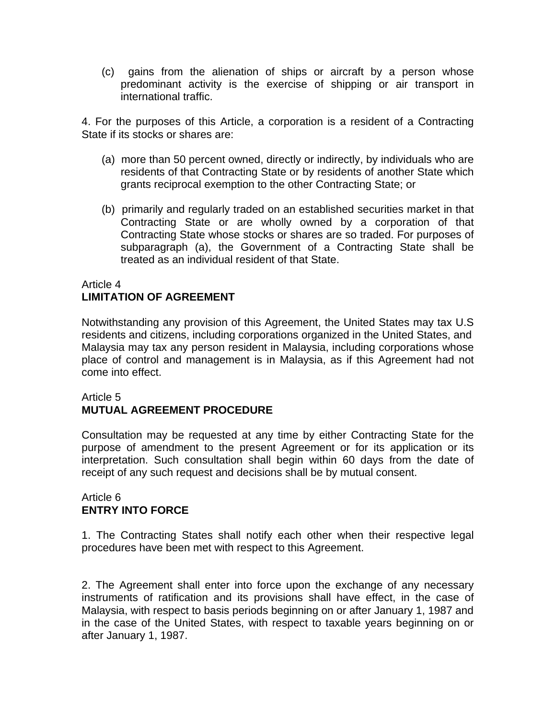(c) gains from the alienation of ships or aircraft by a person whose predominant activity is the exercise of shipping or air transport in international traffic.

4. For the purposes of this Article, a corporation is a resident of a Contracting State if its stocks or shares are:

- (a) more than 50 percent owned, directly or indirectly, by individuals who are residents of that Contracting State or by residents of another State which grants reciprocal exemption to the other Contracting State; or
- (b) primarily and regularly traded on an established securities market in that Contracting State or are wholly owned by a corporation of that Contracting State whose stocks or shares are so traded. For purposes of subparagraph (a), the Government of a Contracting State shall be treated as an individual resident of that State.

# Article 4

## **LIMITATION OF AGREEMENT**

Notwithstanding any provision of this Agreement, the United States may tax U.S residents and citizens, including corporations organized in the United States, and Malaysia may tax any person resident in Malaysia, including corporations whose place of control and management is in Malaysia, as if this Agreement had not come into effect.

### Article 5 **MUTUAL AGREEMENT PROCEDURE**

Consultation may be requested at any time by either Contracting State for the purpose of amendment to the present Agreement or for its application or its interpretation. Such consultation shall begin within 60 days from the date of receipt of any such request and decisions shall be by mutual consent.

### Article 6 **ENTRY INTO FORCE**

1. The Contracting States shall notify each other when their respective legal procedures have been met with respect to this Agreement.

2. The Agreement shall enter into force upon the exchange of any necessary instruments of ratification and its provisions shall have effect, in the case of Malaysia, with respect to basis periods beginning on or after January 1, 1987 and in the case of the United States, with respect to taxable years beginning on or after January 1, 1987.